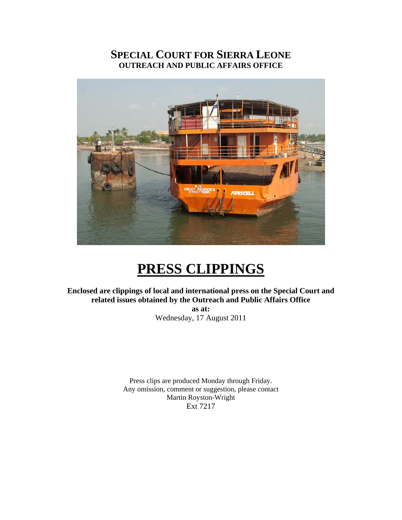## **SPECIAL COURT FOR SIERRA LEONE OUTREACH AND PUBLIC AFFAIRS OFFICE**



# **PRESS CLIPPINGS**

**Enclosed are clippings of local and international press on the Special Court and related issues obtained by the Outreach and Public Affairs Office** 

**as at:**  Wednesday, 17 August 2011

Press clips are produced Monday through Friday. Any omission, comment or suggestion, please contact Martin Royston-Wright Ext 7217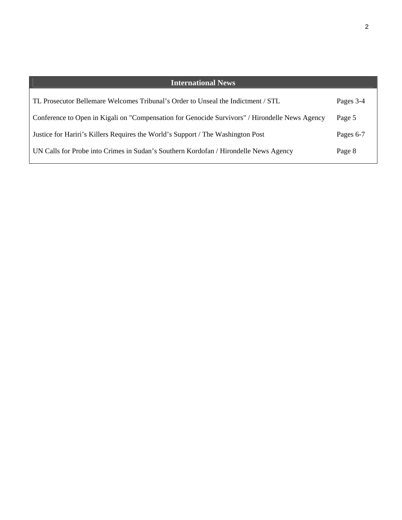| <b>International News</b>                                                                      |           |
|------------------------------------------------------------------------------------------------|-----------|
| TL Prosecutor Bellemare Welcomes Tribunal's Order to Unseal the Indictment / STL               | Pages 3-4 |
| Conference to Open in Kigali on "Compensation for Genocide Survivors" / Hirondelle News Agency | Page 5    |
| Justice for Hariri's Killers Requires the World's Support / The Washington Post                | Pages 6-7 |
| UN Calls for Probe into Crimes in Sudan's Southern Kordofan / Hirondelle News Agency           | Page 8    |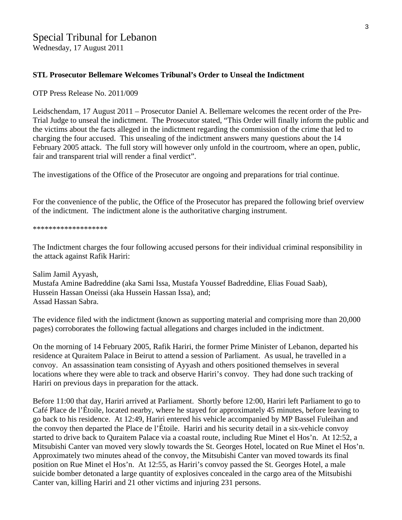#### **STL Prosecutor Bellemare Welcomes Tribunal's Order to Unseal the Indictment**

OTP Press Release No. 2011/009

Leidschendam, 17 August 2011 – Prosecutor Daniel A. Bellemare welcomes the recent order of the Pre-Trial Judge to unseal the indictment. The Prosecutor stated, "This Order will finally inform the public and the victims about the facts alleged in the indictment regarding the commission of the crime that led to charging the four accused. This unsealing of the indictment answers many questions about the 14 February 2005 attack. The full story will however only unfold in the courtroom, where an open, public, fair and transparent trial will render a final verdict".

The investigations of the Office of the Prosecutor are ongoing and preparations for trial continue.

For the convenience of the public, the Office of the Prosecutor has prepared the following brief overview of the indictment. The indictment alone is the authoritative charging instrument.

\*\*\*\*\*\*\*\*\*\*\*\*\*\*\*\*\*\*\*

The Indictment charges the four following accused persons for their individual criminal responsibility in the attack against Rafik Hariri:

Salim Jamil Ayyash, Mustafa Amine Badreddine (aka Sami Issa, Mustafa Youssef Badreddine, Elias Fouad Saab), Hussein Hassan Oneissi (aka Hussein Hassan Issa), and; Assad Hassan Sabra.

The evidence filed with the indictment (known as supporting material and comprising more than 20,000 pages) corroborates the following factual allegations and charges included in the indictment.

On the morning of 14 February 2005, Rafik Hariri, the former Prime Minister of Lebanon, departed his residence at Quraitem Palace in Beirut to attend a session of Parliament. As usual, he travelled in a convoy. An assassination team consisting of Ayyash and others positioned themselves in several locations where they were able to track and observe Hariri's convoy. They had done such tracking of Hariri on previous days in preparation for the attack.

Before 11:00 that day, Hariri arrived at Parliament. Shortly before 12:00, Hariri left Parliament to go to Café Place de l'Étoile, located nearby, where he stayed for approximately 45 minutes, before leaving to go back to his residence. At 12:49, Hariri entered his vehicle accompanied by MP Bassel Fuleihan and the convoy then departed the Place de l'Étoile. Hariri and his security detail in a six-vehicle convoy started to drive back to Quraitem Palace via a coastal route, including Rue Minet el Hos'n. At 12:52, a Mitsubishi Canter van moved very slowly towards the St. Georges Hotel, located on Rue Minet el Hos'n. Approximately two minutes ahead of the convoy, the Mitsubishi Canter van moved towards its final position on Rue Minet el Hos'n. At 12:55, as Hariri's convoy passed the St. Georges Hotel, a male suicide bomber detonated a large quantity of explosives concealed in the cargo area of the Mitsubishi Canter van, killing Hariri and 21 other victims and injuring 231 persons.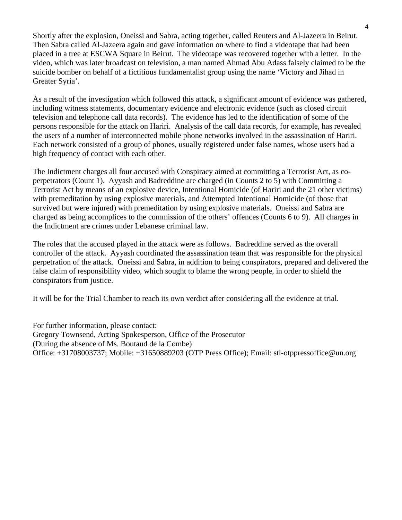Shortly after the explosion, Oneissi and Sabra, acting together, called Reuters and Al-Jazeera in Beirut. Then Sabra called Al-Jazeera again and gave information on where to find a videotape that had been placed in a tree at ESCWA Square in Beirut. The videotape was recovered together with a letter. In the video, which was later broadcast on television, a man named Ahmad Abu Adass falsely claimed to be the suicide bomber on behalf of a fictitious fundamentalist group using the name 'Victory and Jihad in Greater Syria'.

As a result of the investigation which followed this attack, a significant amount of evidence was gathered, including witness statements, documentary evidence and electronic evidence (such as closed circuit television and telephone call data records). The evidence has led to the identification of some of the persons responsible for the attack on Hariri. Analysis of the call data records, for example, has revealed the users of a number of interconnected mobile phone networks involved in the assassination of Hariri. Each network consisted of a group of phones, usually registered under false names, whose users had a high frequency of contact with each other.

The Indictment charges all four accused with Conspiracy aimed at committing a Terrorist Act, as coperpetrators (Count 1). Ayyash and Badreddine are charged (in Counts 2 to 5) with Committing a Terrorist Act by means of an explosive device, Intentional Homicide (of Hariri and the 21 other victims) with premeditation by using explosive materials, and Attempted Intentional Homicide (of those that survived but were injured) with premeditation by using explosive materials. Oneissi and Sabra are charged as being accomplices to the commission of the others' offences (Counts 6 to 9). All charges in the Indictment are crimes under Lebanese criminal law.

The roles that the accused played in the attack were as follows. Badreddine served as the overall controller of the attack. Ayyash coordinated the assassination team that was responsible for the physical perpetration of the attack. Oneissi and Sabra, in addition to being conspirators, prepared and delivered the false claim of responsibility video, which sought to blame the wrong people, in order to shield the conspirators from justice.

It will be for the Trial Chamber to reach its own verdict after considering all the evidence at trial.

For further information, please contact: Gregory Townsend, Acting Spokesperson, Office of the Prosecutor (During the absence of Ms. Boutaud de la Combe) Office: +31708003737; Mobile: +31650889203 (OTP Press Office); Email: stl-otppressoffice@un.org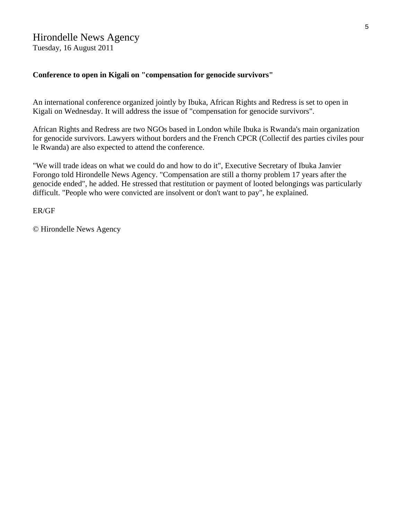## Hirondelle News Agency

Tuesday, 16 August 2011

#### **Conference to open in Kigali on "compensation for genocide survivors"**

An international conference organized jointly by Ibuka, African Rights and Redress is set to open in Kigali on Wednesday. It will address the issue of "compensation for genocide survivors".

African Rights and Redress are two NGOs based in London while Ibuka is Rwanda's main organization for genocide survivors. Lawyers without borders and the French CPCR (Collectif des parties civiles pour le Rwanda) are also expected to attend the conference.

"We will trade ideas on what we could do and how to do it", Executive Secretary of Ibuka Janvier Forongo told Hirondelle News Agency. "Compensation are still a thorny problem 17 years after the genocide ended", he added. He stressed that restitution or payment of looted belongings was particularly difficult. "People who were convicted are insolvent or don't want to pay", he explained.

ER/GF

© Hirondelle News Agency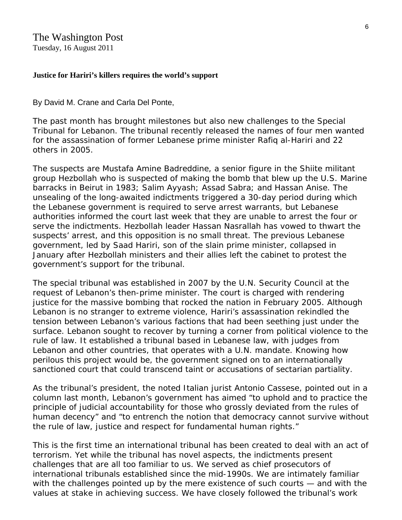#### **Justice for Hariri's killers requires the world's support**

By David M. Crane and Carla Del Ponte,

The past month has brought milestones but also new challenges to the Special Tribunal for Lebanon. The tribunal recently released the names of four men wanted for the assassination of former Lebanese prime minister Rafiq al-Hariri and 22 others in 2005.

The suspects are [Mustafa Amine Badreddine](http://www.stl-tsl.org/sid/284), a senior figure in the Shiite militant group Hezbollah who is suspected of making the bomb that blew up the U.S. Marine barracks in Beirut in 1983; [Salim Ayyash;](http://www.stl-tsl.org/sid/285) [Assad Sabra;](http://www.stl-tsl.org/sid/287) and [Hassan Anise.](http://www.stl-tsl.org/sid/286) The unsealing of the long-awaited indictments triggered a 30-day period during which the Lebanese government is required to serve arrest warrants, but Lebanese authorities informed the court last week that they are unable to arrest the four or serve the indictments. Hezbollah leader [Hassan Nasrallah has vowed](http://www.guardian.co.uk/world/2011/jul/03/hezbollah-leader-refuses-handover-hariri-suspects) to thwart the suspects' arrest, and this opposition is no small threat. The previous Lebanese government, led by Saad Hariri, son of the slain prime minister, [collapsed in](http://www.washingtonpost.com/wp-dyn/content/article/2011/01/12/AR2011011200588.html)  [January](http://www.washingtonpost.com/wp-dyn/content/article/2011/01/12/AR2011011200588.html) after Hezbollah ministers and their allies left the cabinet to protest the government's support for the tribunal.

The special tribunal was established in [2007 by the U.N. Security Council](http://www.washingtonpost.com/wp-dyn/content/article/2007/05/30/AR2007053002337.html) at the request of Lebanon's then-prime minister. The court is charged with rendering justice for the massive bombing that rocked the nation in February 2005. Although Lebanon is no stranger to extreme violence, Hariri's assassination rekindled the tension between Lebanon's various factions that had been seething just under the surface. Lebanon sought to recover by turning a corner from political violence to the rule of law. It established a tribunal based in Lebanese law, with judges from Lebanon and other countries, that operates with a U.N. mandate. Knowing how perilous this project would be, the government signed on to an internationally sanctioned court that could transcend taint or accusations of sectarian partiality.

As the tribunal's president, the noted Italian jurist Antonio Cassese, pointed out [in a](http://www.nytimes.com/2011/07/13/opinion/13iht-edcassese13.html)  [column last month](http://www.nytimes.com/2011/07/13/opinion/13iht-edcassese13.html), Lebanon's government has aimed "to uphold and to practice the principle of judicial accountability for those who grossly deviated from the rules of human decency" and "to entrench the notion that democracy cannot survive without the rule of law, justice and respect for fundamental human rights."

This is the first time an international tribunal has been created to deal with an act of terrorism. Yet while the tribunal has novel aspects, the indictments present challenges that are all too familiar to us. We served as chief prosecutors of international tribunals established since the mid-1990s. We are intimately familiar with the challenges pointed up by the mere existence of such courts — and with the values at stake in achieving success. We have closely followed the tribunal's work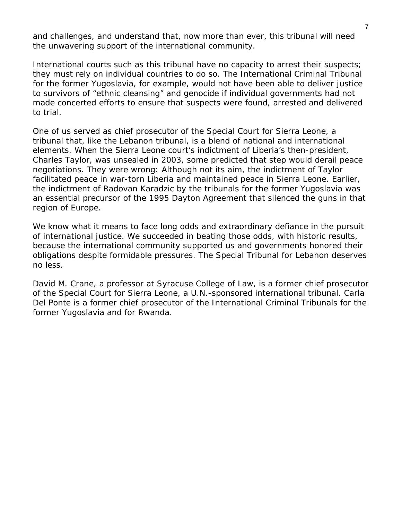and challenges, and understand that, now more than ever, this tribunal will need the unwavering support of the international community.

International courts such as this tribunal have no capacity to arrest their suspects; they must rely on individual countries to do so. The International Criminal Tribunal for the former Yugoslavia, for example, would not have been able to deliver justice to survivors of "ethnic cleansing" and genocide if individual governments had not made concerted efforts to ensure that suspects were found, arrested and delivered to trial.

One of us served as chief prosecutor of the Special Court for Sierra Leone, a tribunal that, like the Lebanon tribunal, is a blend of national and international elements. When the Sierra Leone court's [indictment of Liberia's then-president,](http://www.sc-sl.org/CASES/ProsecutorvsCharlesTaylor/tabid/107/Default.aspx)  [Charles Taylor,](http://www.sc-sl.org/CASES/ProsecutorvsCharlesTaylor/tabid/107/Default.aspx) was unsealed in 2003, some predicted that step would derail peace negotiations. They were wrong: Although not its aim, the indictment of Taylor facilitated peace in war-torn Liberia and maintained peace in Sierra Leone. Earlier, the [indictment of Radovan Karadzic](http://www.icty.org/sid/8066) by the tribunals for the former Yugoslavia was an essential precursor of the 1995 Dayton Agreement that silenced the guns in that region of Europe.

We know what it means to face long odds and extraordinary defiance in the pursuit of international justice. We succeeded in beating those odds, with historic results, because the international community supported us and governments honored their obligations despite formidable pressures. The Special Tribunal for Lebanon deserves no less.

David M. Crane, a professor at Syracuse College of Law, is a former chief prosecutor of the Special Court for Sierra Leone, a U.N.-sponsored international tribunal. Carla Del Ponte is a former chief prosecutor of the International Criminal Tribunals for the former Yugoslavia and for Rwanda.